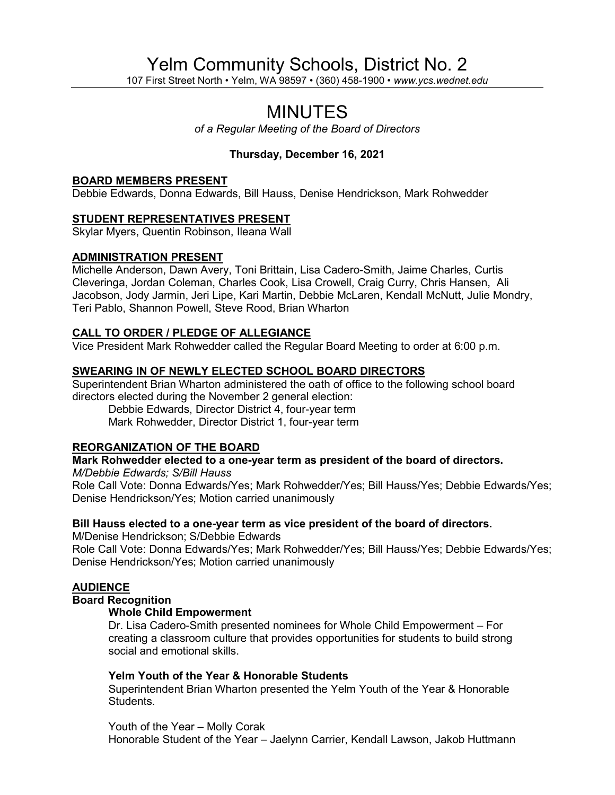# Yelm Community Schools, District No. 2

107 First Street North • Yelm, WA 98597 • (360) 458-1900 • *www.ycs.wednet.edu*

# MINUTES

*of a Regular Meeting of the Board of Directors*

# **Thursday, December 16, 2021**

#### **BOARD MEMBERS PRESENT**

Debbie Edwards, Donna Edwards, Bill Hauss, Denise Hendrickson, Mark Rohwedder

#### **STUDENT REPRESENTATIVES PRESENT**

Skylar Myers, Quentin Robinson, Ileana Wall

#### **ADMINISTRATION PRESENT**

Michelle Anderson, Dawn Avery, Toni Brittain, Lisa Cadero-Smith, Jaime Charles, Curtis Cleveringa, Jordan Coleman, Charles Cook, Lisa Crowell, Craig Curry, Chris Hansen, Ali Jacobson, Jody Jarmin, Jeri Lipe, Kari Martin, Debbie McLaren, Kendall McNutt, Julie Mondry, Teri Pablo, Shannon Powell, Steve Rood, Brian Wharton

#### **CALL TO ORDER / PLEDGE OF ALLEGIANCE**

Vice President Mark Rohwedder called the Regular Board Meeting to order at 6:00 p.m.

#### **SWEARING IN OF NEWLY ELECTED SCHOOL BOARD DIRECTORS**

Superintendent Brian Wharton administered the oath of office to the following school board directors elected during the November 2 general election:

Debbie Edwards, Director District 4, four-year term Mark Rohwedder, Director District 1, four-year term

#### **REORGANIZATION OF THE BOARD**

**Mark Rohwedder elected to a one-year term as president of the board of directors.**

*M/Debbie Edwards; S/Bill Hauss* Role Call Vote: Donna Edwards/Yes; Mark Rohwedder/Yes; Bill Hauss/Yes; Debbie Edwards/Yes; Denise Hendrickson/Yes; Motion carried unanimously

#### **Bill Hauss elected to a one-year term as vice president of the board of directors.**

M/Denise Hendrickson; S/Debbie Edwards

Role Call Vote: Donna Edwards/Yes; Mark Rohwedder/Yes; Bill Hauss/Yes; Debbie Edwards/Yes; Denise Hendrickson/Yes; Motion carried unanimously

#### **AUDIENCE**

## **Board Recognition**

#### **Whole Child Empowerment**

Dr. Lisa Cadero-Smith presented nominees for Whole Child Empowerment – For creating a classroom culture that provides opportunities for students to build strong social and emotional skills.

#### **Yelm Youth of the Year & Honorable Students**

Superintendent Brian Wharton presented the Yelm Youth of the Year & Honorable Students.

Youth of the Year – Molly Corak Honorable Student of the Year – Jaelynn Carrier, Kendall Lawson, Jakob Huttmann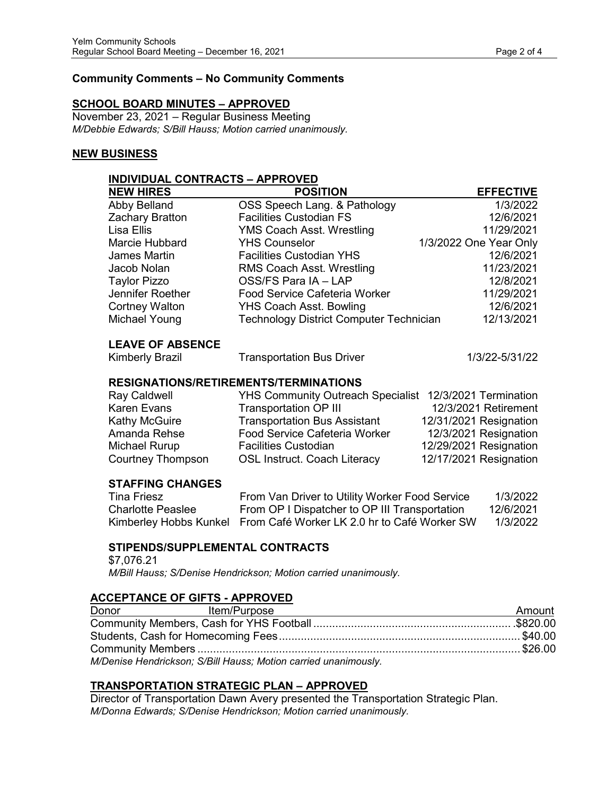### **Community Comments – No Community Comments**

#### **SCHOOL BOARD MINUTES – APPROVED**

November 23, 2021 – Regular Business Meeting *M/Debbie Edwards; S/Bill Hauss; Motion carried unanimously.*

#### **NEW BUSINESS**

| <b>INDIVIDUAL CONTRACTS - APPROVED</b> |                                                |  |                        |
|----------------------------------------|------------------------------------------------|--|------------------------|
| <b>NEW HIRES</b>                       | <b>POSITION</b>                                |  | <b>EFFECTIVE</b>       |
| Abby Belland                           | OSS Speech Lang. & Pathology                   |  | 1/3/2022               |
| Zachary Bratton                        | <b>Facilities Custodian FS</b>                 |  | 12/6/2021              |
| Lisa Ellis                             | <b>YMS Coach Asst. Wrestling</b>               |  | 11/29/2021             |
| Marcie Hubbard                         | <b>YHS Counselor</b>                           |  | 1/3/2022 One Year Only |
| <b>James Martin</b>                    | <b>Facilities Custodian YHS</b>                |  | 12/6/2021              |
| Jacob Nolan                            | RMS Coach Asst. Wrestling                      |  | 11/23/2021             |
| <b>Taylor Pizzo</b>                    | OSS/FS Para IA - LAP                           |  | 12/8/2021              |
| Jennifer Roether                       | <b>Food Service Cafeteria Worker</b>           |  | 11/29/2021             |
| <b>Cortney Walton</b>                  | <b>YHS Coach Asst. Bowling</b>                 |  | 12/6/2021              |
| Michael Young                          | <b>Technology District Computer Technician</b> |  | 12/13/2021             |
| <b>LEAVE OF ABSENCE</b>                |                                                |  |                        |
| <b>Kimberly Brazil</b>                 | <b>Transportation Bus Driver</b>               |  | 1/3/22-5/31/22         |
|                                        | <b>RESIGNATIONS/RETIREMENTS/TERMINATIONS</b>   |  |                        |
| <b>Ray Caldwell</b>                    | <b>YHS Community Outreach Specialist</b>       |  | 12/3/2021 Termination  |
| <b>Karen Evans</b>                     | <b>Transportation OP III</b>                   |  | 12/3/2021 Retirement   |
| <b>Kathy McGuire</b>                   | <b>Transportation Bus Assistant</b>            |  | 12/31/2021 Resignation |
| Amanda Rehse                           | Food Service Cafeteria Worker                  |  | 12/3/2021 Resignation  |
| Michael Rurup                          | <b>Facilities Custodian</b>                    |  | 12/29/2021 Resignation |
| <b>Courtney Thompson</b>               | <b>OSL Instruct. Coach Literacy</b>            |  | 12/17/2021 Resignation |
| <b>STAFFING CHANGES</b>                |                                                |  |                        |
| <b>Tina Friesz</b>                     | From Van Driver to Utility Worker Food Service |  | 1/3/2022               |
| <b>Charlotte Peaslee</b>               | From OP I Dispatcher to OP III Transportation  |  | 12/6/2021              |
| Kimberley Hobbs Kunkel                 | From Café Worker LK 2.0 hr to Café Worker SW   |  | 1/3/2022               |

# **STIPENDS/SUPPLEMENTAL CONTRACTS**

\$7,076.21 *M/Bill Hauss; S/Denise Hendrickson; Motion carried unanimously.*

#### **ACCEPTANCE OF GIFTS - APPROVED**

| Donor | Item/Purpose                                                    | Amount |
|-------|-----------------------------------------------------------------|--------|
|       |                                                                 |        |
|       |                                                                 |        |
|       |                                                                 |        |
|       | M/Denise Hendrickson; S/Bill Hauss; Motion carried unanimously. |        |

#### **TRANSPORTATION STRATEGIC PLAN – APPROVED**

Director of Transportation Dawn Avery presented the Transportation Strategic Plan. *M/Donna Edwards; S/Denise Hendrickson; Motion carried unanimously.*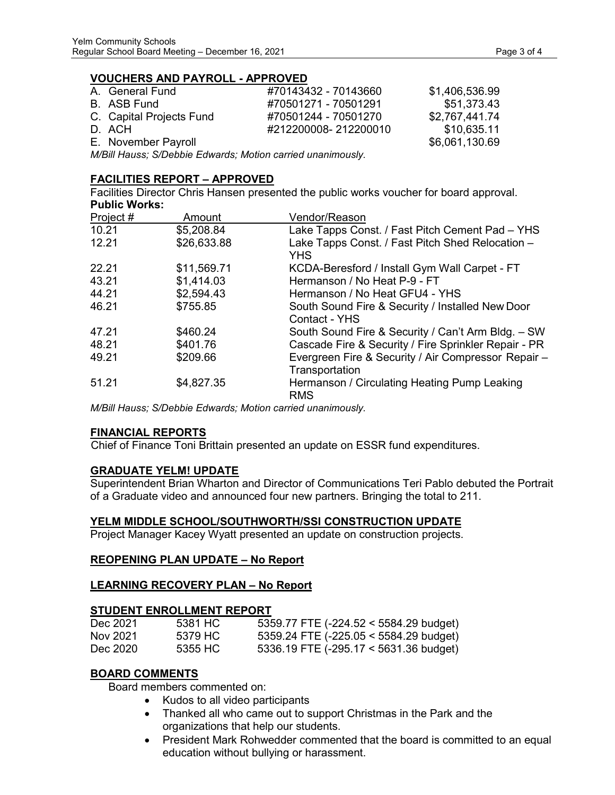#### **VOUCHERS AND PAYROLL - APPROVED**

| A. General Fund          | #70143432 - 70143660 | \$1,406,536.99 |
|--------------------------|----------------------|----------------|
| B. ASB Fund              | #70501271 - 70501291 | \$51,373.43    |
| C. Capital Projects Fund | #70501244 - 70501270 | \$2,767,441.74 |
| D. ACH                   | #212200008-212200010 | \$10,635.11    |
| E. November Payroll      |                      | \$6,061,130.69 |

*M/Bill Hauss; S/Debbie Edwards; Motion carried unanimously.*

#### **FACILITIES REPORT – APPROVED**

Facilities Director Chris Hansen presented the public works voucher for board approval. **Public Works:**

| Project # | Amount      | Vendor/Reason                                                         |
|-----------|-------------|-----------------------------------------------------------------------|
| 10.21     | \$5,208.84  | Lake Tapps Const. / Fast Pitch Cement Pad - YHS                       |
| 12.21     | \$26,633.88 | Lake Tapps Const. / Fast Pitch Shed Relocation -<br><b>YHS</b>        |
| 22.21     | \$11,569.71 | KCDA-Beresford / Install Gym Wall Carpet - FT                         |
| 43.21     | \$1,414.03  | Hermanson / No Heat P-9 - FT                                          |
| 44.21     | \$2,594.43  | Hermanson / No Heat GFU4 - YHS                                        |
| 46.21     | \$755.85    | South Sound Fire & Security / Installed New Door<br>Contact - YHS     |
| 47.21     | \$460.24    | South Sound Fire & Security / Can't Arm Bldg. - SW                    |
| 48.21     | \$401.76    | Cascade Fire & Security / Fire Sprinkler Repair - PR                  |
| 49.21     | \$209.66    | Evergreen Fire & Security / Air Compressor Repair -<br>Transportation |
| 51.21     | \$4,827.35  | Hermanson / Circulating Heating Pump Leaking<br><b>RMS</b>            |

*M/Bill Hauss; S/Debbie Edwards; Motion carried unanimously.*

#### **FINANCIAL REPORTS**

Chief of Finance Toni Brittain presented an update on ESSR fund expenditures.

#### **GRADUATE YELM! UPDATE**

Superintendent Brian Wharton and Director of Communications Teri Pablo debuted the Portrait of a Graduate video and announced four new partners. Bringing the total to 211.

#### **YELM MIDDLE SCHOOL/SOUTHWORTH/SSI CONSTRUCTION UPDATE**

Project Manager Kacey Wyatt presented an update on construction projects.

#### **REOPENING PLAN UPDATE – No Report**

#### **LEARNING RECOVERY PLAN – No Report**

#### **STUDENT ENROLLMENT REPORT**

| Dec 2021 | 5381 HC | 5359.77 FTE (-224.52 < 5584.29 budget)   |
|----------|---------|------------------------------------------|
| Nov 2021 | 5379 HC | $5359.24$ FTE (-225.05 < 5584.29 budget) |
| Dec 2020 | 5355 HC | 5336.19 FTE (-295.17 < 5631.36 budget)   |

#### **BOARD COMMENTS**

Board members commented on:

- Kudos to all video participants
- Thanked all who came out to support Christmas in the Park and the organizations that help our students.
- President Mark Rohwedder commented that the board is committed to an equal education without bullying or harassment.